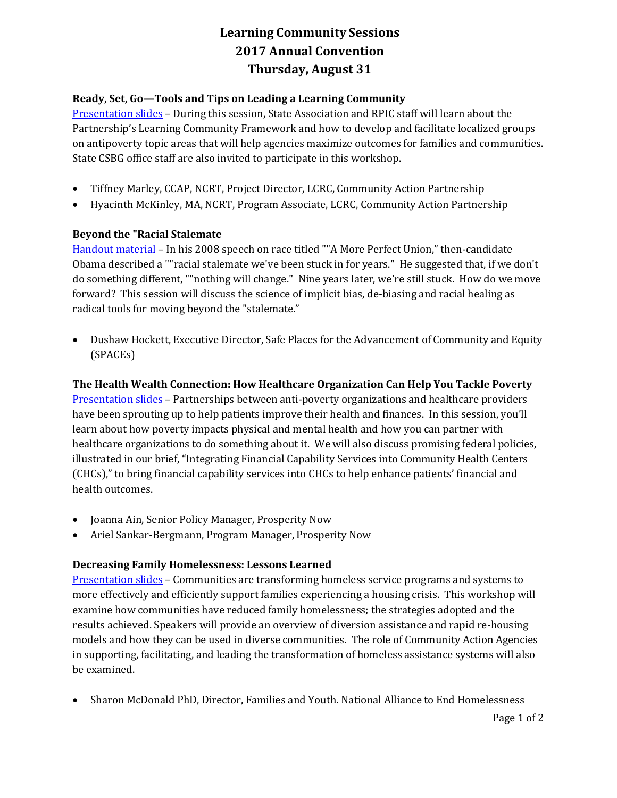# **Learning Community Sessions 2017 Annual Convention Thursday, August 31**

## **Ready, Set, Go—Tools and Tips on Leading a Learning Community**

[Presentation slides](http://www.virtualcap.org/wordpress4/wp-content/uploads/2017/09/Ready-Set-Go.pdf) – During this session, State Association and RPIC staff will learn about the Partnership's Learning Community Framework and how to develop and facilitate localized groups on antipoverty topic areas that will help agencies maximize outcomes for families and communities. State CSBG office staff are also invited to participate in this workshop.

- Tiffney Marley, CCAP, NCRT, Project Director, LCRC, Community Action Partnership
- Hyacinth McKinley, MA, NCRT, Program Associate, LCRC, Community Action Partnership

### **Beyond the "Racial Stalemate**

[Handout material](http://www.virtualcap.org/wordpress4/wp-content/uploads/2017/09/LCRC-Handouts-2017.pdf) – In his 2008 speech on race titled ""A More Perfect Union," then-candidate Obama described a ""racial stalemate we've been stuck in for years." He suggested that, if we don't do something different, ""nothing will change." Nine years later, we're still stuck. How do we move forward? This session will discuss the science of implicit bias, de-biasing and racial healing as radical tools for moving beyond the "stalemate."

 Dushaw Hockett, Executive Director, Safe Places for the Advancement of Community and Equity (SPACEs)

### **The Health Wealth Connection: How Healthcare Organization Can Help You Tackle Poverty**

[Presentation slides](http://www.virtualcap.org/wordpress4/wp-content/uploads/2017/09/Health-Wealth.pdf) – Partnerships between anti-poverty organizations and healthcare providers have been sprouting up to help patients improve their health and finances. In this session, you'll learn about how poverty impacts physical and mental health and how you can partner with healthcare organizations to do something about it. We will also discuss promising federal policies, illustrated in our brief, "Integrating Financial Capability Services into Community Health Centers (CHCs)," to bring financial capability services into CHCs to help enhance patients' financial and health outcomes.

- Joanna Ain, Senior Policy Manager, Prosperity Now
- Ariel Sankar-Bergmann, Program Manager, Prosperity Now

### **Decreasing Family Homelessness: Lessons Learned**

[Presentation slides](http://www.virtualcap.org/wordpress4/wp-content/uploads/2017/09/Decreasing-Family-Homelessness.pdf) – Communities are transforming homeless service programs and systems to more effectively and efficiently support families experiencing a housing crisis. This workshop will examine how communities have reduced family homelessness; the strategies adopted and the results achieved. Speakers will provide an overview of diversion assistance and rapid re-housing models and how they can be used in diverse communities. The role of Community Action Agencies in supporting, facilitating, and leading the transformation of homeless assistance systems will also be examined.

Sharon McDonald PhD, Director, Families and Youth. National Alliance to End Homelessness